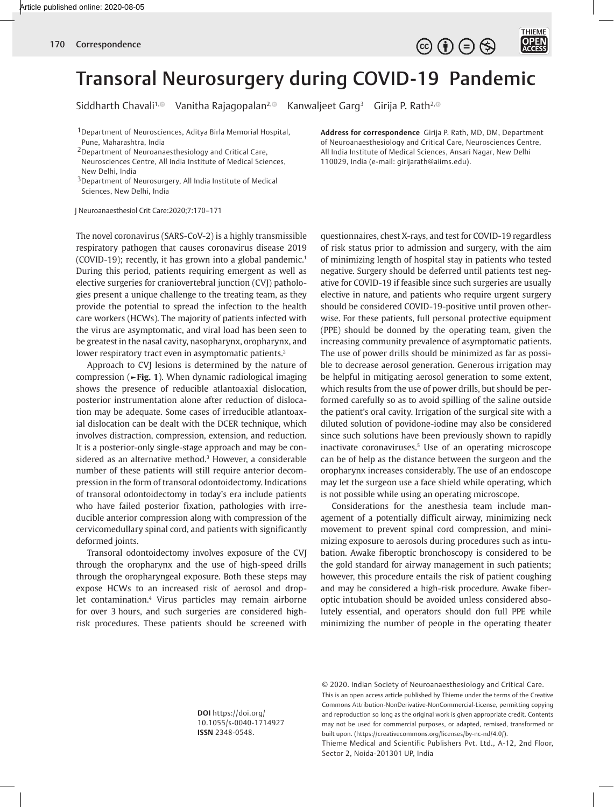$\circledcirc$   $\oplus$   $\circledcirc$ 

THIEME

OPEN

## Transoral Neurosurgery during COVID-19 Pandemic

Siddharth Chavali<sup>1, @</sup> Vanitha Rajagopalan<sup>2, @</sup> Kanwaljeet Garg<sup>3</sup> Girija P. Rath<sup>2, @</sup>

1Department of Neurosciences, Aditya Birla Memorial Hospital, Pune, Maharashtra, India

2Department of Neuroanaesthesiology and Critical Care, Neurosciences Centre, All India Institute of Medical Sciences, New Delhi, India

<sup>3</sup>Department of Neurosurgery, All India Institute of Medical Sciences, New Delhi, India

J Neuroanaesthesiol Crit Care:2020;7:170–171

The novel coronavirus (SARS-CoV-2) is a highly transmissible respiratory pathogen that causes coronavirus disease 2019 (COVID-19); recently, it has grown into a global pandemic.<sup>1</sup> During this period, patients requiring emergent as well as elective surgeries for craniovertebral junction (CVJ) pathologies present a unique challenge to the treating team, as they provide the potential to spread the infection to the health care workers (HCWs). The majority of patients infected with the virus are asymptomatic, and viral load has been seen to be greatest in the nasal cavity, nasopharynx, oropharynx, and lower respiratory tract even in asymptomatic patients.<sup>2</sup>

Approach to CVJ lesions is determined by the nature of compression (**►Fig. 1**). When dynamic radiological imaging shows the presence of reducible atlantoaxial dislocation, posterior instrumentation alone after reduction of dislocation may be adequate. Some cases of irreducible atlantoaxial dislocation can be dealt with the DCER technique, which involves distraction, compression, extension, and reduction. It is a posterior-only single-stage approach and may be considered as an alternative method.3 However, a considerable number of these patients will still require anterior decompression in the form of transoral odontoidectomy. Indications of transoral odontoidectomy in today's era include patients who have failed posterior fixation, pathologies with irreducible anterior compression along with compression of the cervicomedullary spinal cord, and patients with significantly deformed joints.

Transoral odontoidectomy involves exposure of the CVJ through the oropharynx and the use of high-speed drills through the oropharyngeal exposure. Both these steps may expose HCWs to an increased risk of aerosol and droplet contamination.4 Virus particles may remain airborne for over 3 hours, and such surgeries are considered highrisk procedures. These patients should be screened with

**Address for correspondence** Girija P. Rath, MD, DM, Department of Neuroanaesthesiology and Critical Care, Neurosciences Centre, All India Institute of Medical Sciences, Ansari Nagar, New Delhi 110029, India (e-mail: girijarath@aiims.edu).

questionnaires, chest X-rays, and test for COVID-19 regardless of risk status prior to admission and surgery, with the aim of minimizing length of hospital stay in patients who tested negative. Surgery should be deferred until patients test negative for COVID-19 if feasible since such surgeries are usually elective in nature, and patients who require urgent surgery should be considered COVID-19-positive until proven otherwise. For these patients, full personal protective equipment (PPE) should be donned by the operating team, given the increasing community prevalence of asymptomatic patients. The use of power drills should be minimized as far as possible to decrease aerosol generation. Generous irrigation may be helpful in mitigating aerosol generation to some extent, which results from the use of power drills, but should be performed carefully so as to avoid spilling of the saline outside the patient's oral cavity. Irrigation of the surgical site with a diluted solution of povidone-iodine may also be considered since such solutions have been previously shown to rapidly inactivate coronaviruses.5 Use of an operating microscope can be of help as the distance between the surgeon and the oropharynx increases considerably. The use of an endoscope may let the surgeon use a face shield while operating, which is not possible while using an operating microscope.

Considerations for the anesthesia team include management of a potentially difficult airway, minimizing neck movement to prevent spinal cord compression, and minimizing exposure to aerosols during procedures such as intubation. Awake fiberoptic bronchoscopy is considered to be the gold standard for airway management in such patients; however, this procedure entails the risk of patient coughing and may be considered a high-risk procedure. Awake fiberoptic intubation should be avoided unless considered absolutely essential, and operators should don full PPE while minimizing the number of people in the operating theater

**DOI** https://doi.org/ 10.1055/s-0040-1714927 **ISSN** 2348-0548.

© 2020. Indian Society of Neuroanaesthesiology and Critical Care. This is an open access article published by Thieme under the terms of the Creative Commons Attribution-NonDerivative-NonCommercial-License, permitting copying and reproduction so long as the original work is given appropriate credit. Contents may not be used for commercial purposes, or adapted, remixed, transformed or built upon. (https://creativecommons.org/licenses/by-nc-nd/4.0/).

Thieme Medical and Scientific Publishers Pvt. Ltd., A-12, 2nd Floor, Sector 2, Noida-201301 UP, India